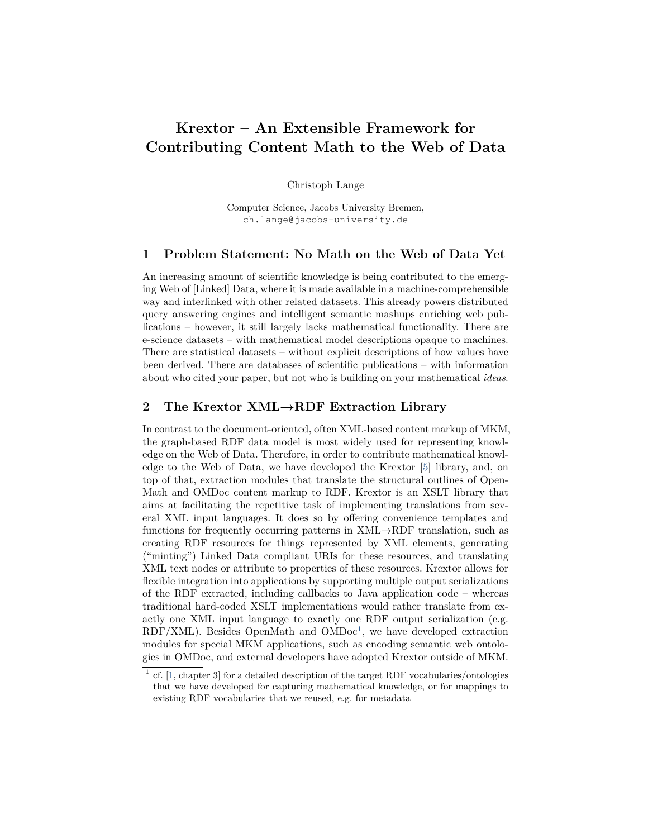# **Krextor – An Extensible Framework for Contributing Content Math to the Web of Data**

Christoph Lange

Computer Science, Jacobs University Bremen, ch.lange@jacobs-university.de

#### **1 Problem Statement: No Math on the Web of Data Yet**

An increasing amount of scientific knowledge is being contributed to the emerging Web of [Linked] Data, where it is made available in a machine-comprehensible way and interlinked with other related datasets. This already powers distributed query answering engines and intelligent semantic mashups enriching web publications – however, it still largely lacks mathematical functionality. There are e-science datasets – with mathematical model descriptions opaque to machines. There are statistical datasets – without explicit descriptions of how values have been derived. There are databases of scientific publications – with information about who cited your paper, but not who is building on your mathematical *ideas*.

## **2 The Krextor XML→RDF Extraction Library**

In contrast to the document-oriented, often XML-based content markup of MKM, the graph-based RDF data model is most widely used for representing knowledge on the Web of Data. Therefore, in order to contribute mathematical knowledge to the Web of Data, we have developed the Krextor [\[5\]](#page-1-0) library, and, on top of that, extraction modules that translate the structural outlines of Open-Math and OMDoc content markup to RDF. Krextor is an XSLT library that aims at facilitating the repetitive task of implementing translations from several XML input languages. It does so by offering convenience templates and functions for frequently occurring patterns in  $XML \rightarrow RDF$  translation, such as creating RDF resources for things represented by XML elements, generating ("minting") Linked Data compliant URIs for these resources, and translating XML text nodes or attribute to properties of these resources. Krextor allows for flexible integration into applications by supporting multiple output serializations of the RDF extracted, including callbacks to Java application code – whereas traditional hard-coded XSLT implementations would rather translate from exactly one XML input language to exactly one RDF output serialization (e.g.  $RDF/XML$ ). Besides OpenMath and OMDoc<sup>[1](#page-0-0)</sup>, we have developed extraction modules for special MKM applications, such as encoding semantic web ontologies in OMDoc, and external developers have adopted Krextor outside of MKM.

<span id="page-0-0"></span> $<sup>1</sup>$  cf. [\[1,](#page-1-1) chapter 3] for a detailed description of the target RDF vocabularies/ontologies</sup> that we have developed for capturing mathematical knowledge, or for mappings to existing RDF vocabularies that we reused, e.g. for metadata